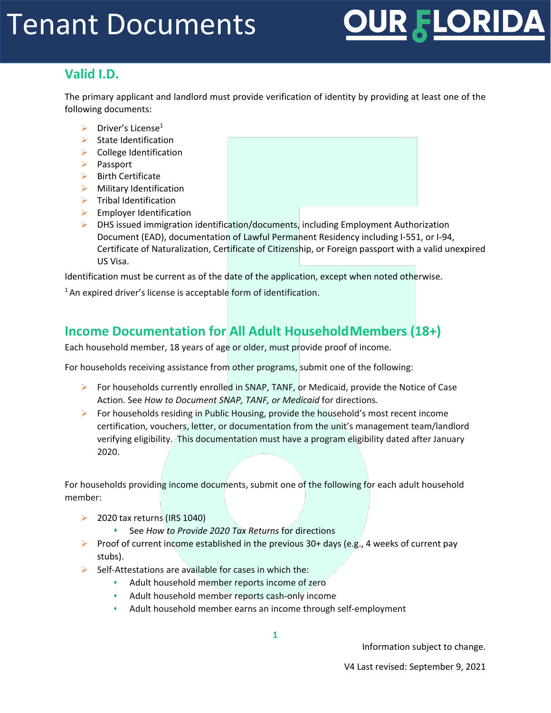# FLORIDA

### **Valid I.D.**

The primary applicant and landlord must provide verification of identity by providing at least one of the following documents:

- $\triangleright$  Driver's License<sup>1</sup>
- $\triangleright$  State Identification
- $\triangleright$  College Identification
- Passport
- $\triangleright$  Birth Certificate
- $\triangleright$  Military Identification
- $\triangleright$  Tribal Identification
- $\blacktriangleright$  Employer Identification
- $\triangleright$  DHS issued immigration identification/documents, including Employment Authorization Document (EAD), documentation of Lawful Permanent Residency including I-551, or I-94, Certificate of Naturalization, Certificate of Citizenship, or Foreign passport with a valid unexpired US Visa.

Identification must be current as of the date of the application, except when noted otherwise.

 $1$ An expired driver's license is acceptable form of identification.

### **Income Documentation for All Adult HouseholdMembers (18+)**

Each household member, 18 years of age or older, must provide proof of income.

For households receiving assistance from other programs, submit one of the following:

- For households currently enrolled in SNAP, TANF, or Medicaid, provide the Notice of Case Action. See *How to Document SNAP, TANF, or Medicaid* for directions.
- For households residing in Public Housing, provide the household's most recent income certification, vouchers, letter, or documentation from the unit's management team/landlord verifying eligibility. This documentation must have a program eligibility dated after January 2020.

For households providing income documents, submit one of the following for each adult household member:

- $\geq$  2020 tax returns (IRS 1040)
	- See *How to Provide 2020 Tax Returns* for directions
- Proof of current income established in the previous 30+ days (e.g., 4 weeks of current pay stubs).
- $\triangleright$  Self-Attestations are available for cases in which the:
	- Adult household member reports income of zero
	- Adult household member reports cash-only income
	- Adult household member earns an income through self-employment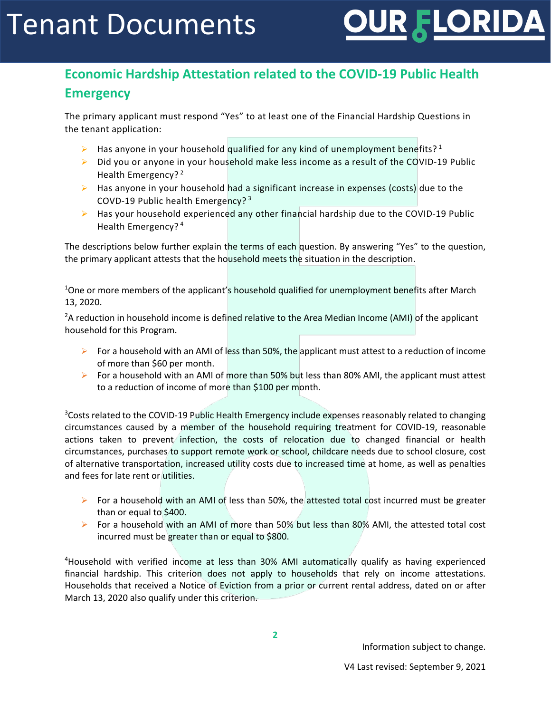

## **Economic Hardship Attestation related to the COVID-19 Public Health Emergency**

The primary applicant must respond "Yes" to at least one of the Financial Hardship Questions in the tenant application:

- Has anyone in your household qualified for any kind of unemployment benefits?<sup>1</sup>
- $\triangleright$  Did you or anyone in your household make less income as a result of the COVID-19 Public Health Emergency?<sup>2</sup>
- $\triangleright$  Has anyone in your household had a significant increase in expenses (costs) due to the COVD-19 Public health Emergency? <sup>3</sup>
- $\triangleright$  Has your household experienced any other financial hardship due to the COVID-19 Public Health Emergency? <sup>4</sup>

The descriptions below further explain the terms of each question. By answering "Yes" to the question, the primary applicant attests that the household meets the situation in the description.

<sup>1</sup>One or more members of the applicant's household qualified for unemployment benefits after March 13, 2020.

<sup>2</sup>A reduction in household income is defined relative to the Area Median Income (AMI) of the applicant household for this Program.

- For a household with an AMI of less than 50%, the applicant must attest to a reduction of income of more than \$60 per month.
- For a household with an AMI of more than 50% but less than 80% AMI, the applicant must attest to a reduction of income of more than \$100 per month.

<sup>3</sup>Costs related to the COVID-19 Public Health Emergency include expenses reasonably related to changing circumstances caused by a member of the household requiring treatment for COVID-19, reasonable actions taken to prevent infection, the costs of relocation due to changed financial or health circumstances, purchases to support remote work or school, childcare needs due to school closure, cost of alternative transportation, increased utility costs due to increased time at home, as well as penalties and fees for late rent or utilities.

- For a household with an AMI of less than 50%, the attested total cost incurred must be greater than or equal to \$400.
- For a household with an AMI of more than 50% but less than 80% AMI, the attested total cost incurred must be greater than or equal to \$800.

<sup>4</sup>Household with verified income at less than 30% AMI automatically qualify as having experienced financial hardship. This criterion does not apply to households that rely on income attestations. Households that received a Notice of Eviction from a prior or current rental address, dated on or after March 13, 2020 also qualify under this criterion.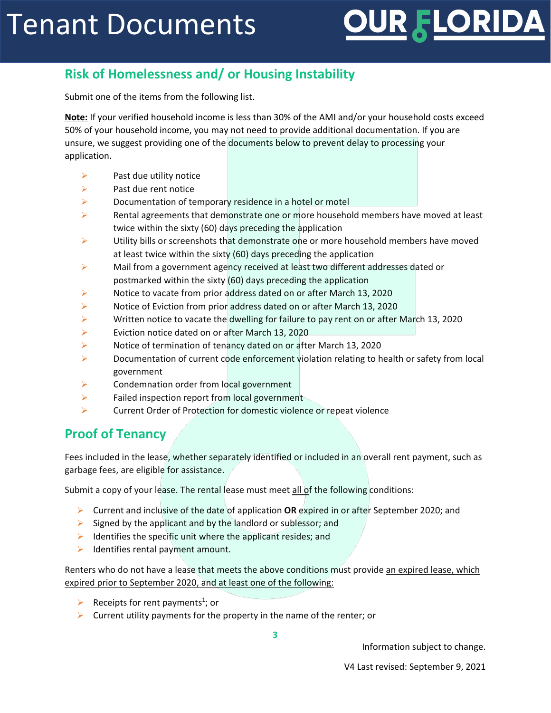# FLORIDA

## **Risk of Homelessness and/ or Housing Instability**

Submit one of the items from the following list.

**Note:** If your verified household income is less than 30% of the AMI and/or your household costs exceed 50% of your household income, you may not need to provide additional documentation. If you are unsure, we suggest providing one of the documents below to prevent delay to processing your application.

- $\triangleright$  Past due utility notice
- $\triangleright$  Past due rent notice
- $\triangleright$  Documentation of temporary residence in a hotel or motel
- $\triangleright$  Rental agreements that demonstrate one or more household members have moved at least twice within the sixty (60) days preceding the application
- $\triangleright$  Utility bills or screenshots that demonstrate one or more household members have moved at least twice within the sixty (60) days preceding the application
- $\triangleright$  Mail from a government agency received at least two different addresses dated or postmarked within the sixty (60) days preceding the application
- $\triangleright$  Notice to vacate from prior address dated on or after March 13, 2020
- Notice of Eviction from prior address dated on or after March 13, 2020
- $\triangleright$  Written notice to vacate the dwelling for failure to pay rent on or after March 13, 2020
- Eviction notice dated on or after March 13, 2020
- $\triangleright$  Notice of termination of tenancy dated on or after March 13, 2020
- **Documentation of current code enforcement violation relating to health or safety from local** government
- $\triangleright$  Condemnation order from local government
- $\triangleright$  Failed inspection report from local government-
- Current Order of Protection for domestic violence or repeat violence

#### **Proof of Tenancy**

Fees included in the lease, whether separately identified or included in an overall rent payment, such as garbage fees, are eligible for assistance.

Submit a copy of your lease. The rental lease must meet all of the following conditions:

- Current and inclusive of the date of application **OR** expired in or after September 2020; and
- $\triangleright$  Signed by the applicant and by the landlord or sublessor; and
- $\triangleright$  Identifies the specific unit where the applicant resides; and
- $\blacktriangleright$  Identifies rental payment amount.

Renters who do not have a lease that meets the above conditions must provide an expired lease, which expired prior to September 2020, and at least one of the following:

- P Receipts for rent payments<sup>1</sup>; or
- $\triangleright$  Current utility payments for the property in the name of the renter; or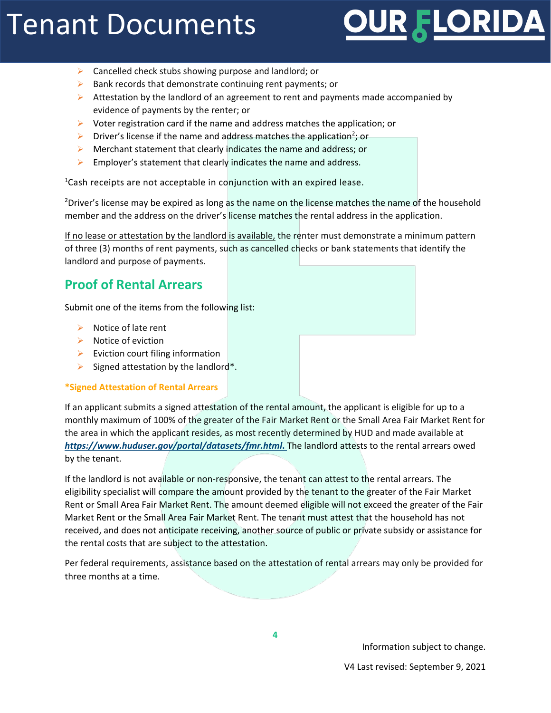# FLORIDA

- $\triangleright$  Cancelled check stubs showing purpose and landlord; or
- $\triangleright$  Bank records that demonstrate continuing rent payments; or
- Attestation by the landlord of an agreement to rent and payments made accompanied by evidence of payments by the renter; or
- $\triangleright$  Voter registration card if the name and address matches the application; or
- $\triangleright$  Driver's license if the name and address matches the application<sup>2</sup>; or
- $\triangleright$  Merchant statement that clearly indicates the name and address; or
- $\triangleright$  Employer's statement that clearly indicates the name and address.

1 Cash receipts are not acceptable in conjunction with an expired lease.

<sup>2</sup>Driver's license may be expired as long as the name on the license matches the name of the household member and the address on the driver's license matches the rental address in the application.

If no lease or attestation by the landlord is available, the renter must demonstrate a minimum pattern of three (3) months of rent payments, such as cancelled checks or bank statements that identify the landlord and purpose of payments.

### **Proof of Rental Arrears**

Submit one of the items from the following list:

- $\triangleright$  Notice of late rent
- $\triangleright$  Notice of eviction
- $\triangleright$  Eviction court filing information
- $\triangleright$  Signed attestation by the landlord\*.

#### **\*Signed Attestation of Rental Arrears**

If an applicant submits a signed attestation of the rental amount, the applicant is eligible for up to a monthly maximum of 100% of the greater of the Fair Market Rent or the Small Area Fair Market Rent for the area in which the applicant resides, as most recently determined by HUD and made available at *<https://www.huduser.gov/portal/datasets/fmr.html>***.** The landlord attests to the rental arrears owed by the tenant.

If the landlord is not available or non-responsive, the tenant can attest to the rental arrears. The eligibility specialist will compare the amount provided by the tenant to the greater of the Fair Market Rent or Small Area Fair Market Rent. The amount deemed eligible will not exceed the greater of the Fair Market Rent or the Small Area Fair Market Rent. The tenant must attest that the household has not received, and does not anticipate receiving, another source of public or private subsidy or assistance for the rental costs that are subject to the attestation.

Per federal requirements, assistance based on the attestation of rental arrears may only be provided for three months at a time.